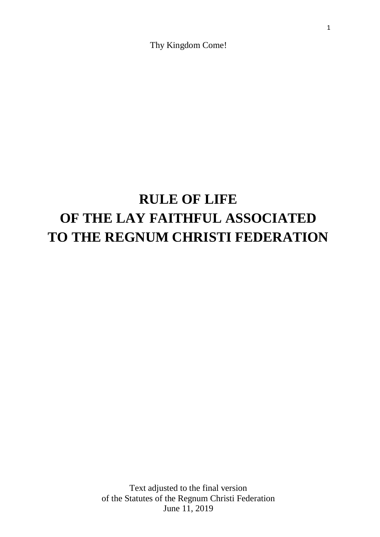Thy Kingdom Come!

# **RULE OF LIFE OF THE LAY FAITHFUL ASSOCIATED TO THE REGNUM CHRISTI FEDERATION**

Text adjusted to the final version of the Statutes of the Regnum Christi Federation June 11, 2019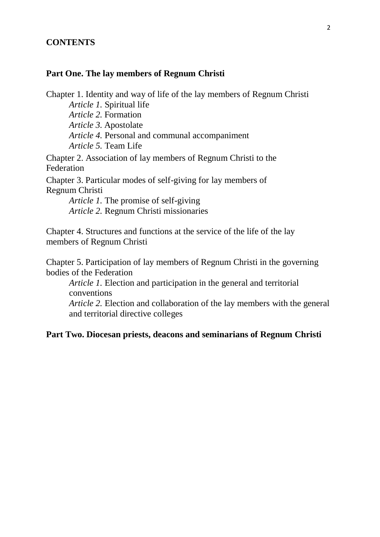#### **CONTENTS**

#### **Part One. The lay members of Regnum Christi**

Chapter 1. Identity and way of life of the lay members of Regnum Christi *Article 1.* Spiritual life *Article 2.* Formation *Article 3.* Apostolate *Article 4.* Personal and communal accompaniment *Article 5.* Team Life Chapter 2. Association of lay members of Regnum Christi to the Federation Chapter 3. Particular modes of self-giving for lay members of Regnum Christi *Article 1.* The promise of self-giving *Article 2.* Regnum Christi missionaries

Chapter 4. Structures and functions at the service of the life of the lay members of Regnum Christi

Chapter 5. Participation of lay members of Regnum Christi in the governing bodies of the Federation

*Article 1.* Election and participation in the general and territorial conventions

*Article 2.* Election and collaboration of the lay members with the general and territorial directive colleges

#### **Part Two. Diocesan priests, deacons and seminarians of Regnum Christi**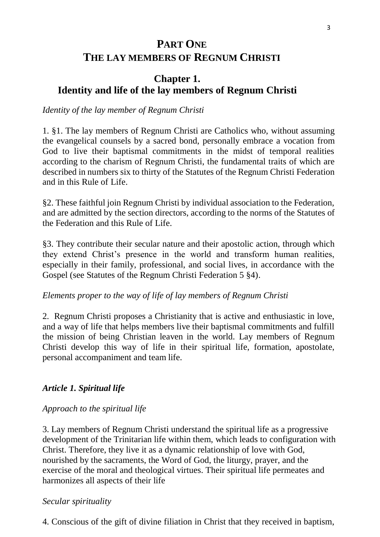# **PART ONE THE LAY MEMBERS OF REGNUM CHRISTI**

## **Chapter 1. Identity and life of the lay members of Regnum Christi**

## *Identity of the lay member of Regnum Christi*

1. §1. The lay members of Regnum Christi are Catholics who, without assuming the evangelical counsels by a sacred bond, personally embrace a vocation from God to live their baptismal commitments in the midst of temporal realities according to the charism of Regnum Christi, the fundamental traits of which are described in numbers six to thirty of the Statutes of the Regnum Christi Federation and in this Rule of Life.

§2. These faithful join Regnum Christi by individual association to the Federation, and are admitted by the section directors, according to the norms of the Statutes of the Federation and this Rule of Life.

§3. They contribute their secular nature and their apostolic action, through which they extend Christ's presence in the world and transform human realities, especially in their family, professional, and social lives, in accordance with the Gospel (see Statutes of the Regnum Christi Federation 5 §4).

#### *Elements proper to the way of life of lay members of Regnum Christi*

2. Regnum Christi proposes a Christianity that is active and enthusiastic in love, and a way of life that helps members live their baptismal commitments and fulfill the mission of being Christian leaven in the world. Lay members of Regnum Christi develop this way of life in their spiritual life, formation, apostolate, personal accompaniment and team life.

#### *Article 1. Spiritual life*

## *Approach to the spiritual life*

3. Lay members of Regnum Christi understand the spiritual life as a progressive development of the Trinitarian life within them, which leads to configuration with Christ. Therefore, they live it as a dynamic relationship of love with God, nourished by the sacraments, the Word of God, the liturgy, prayer, and the exercise of the moral and theological virtues. Their spiritual life permeates and harmonizes all aspects of their life

## *Secular spirituality*

4. Conscious of the gift of divine filiation in Christ that they received in baptism,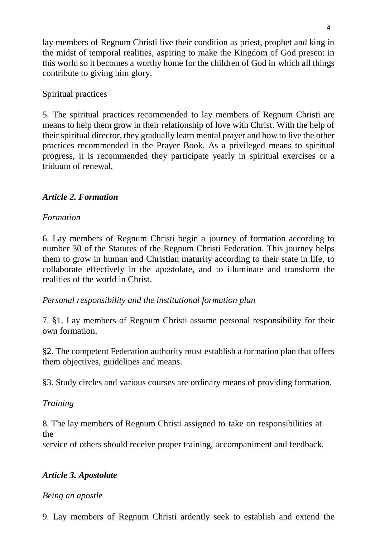lay members of Regnum Christi live their condition as priest, prophet and king in the midst of temporal realities, aspiring to make the Kingdom of God present in this world so it becomes a worthy home for the children of God in which all things contribute to giving him glory.

## Spiritual practices

5. The spiritual practices recommended to lay members of Regnum Christi are means to help them grow in their relationship of love with Christ. With the help of their spiritual director, they gradually learn mental prayer and how to live the other practices recommended in the Prayer Book. As a privileged means to spiritual progress, it is recommended they participate yearly in spiritual exercises or a triduum of renewal.

## *Article 2. Formation*

## *Formation*

6. Lay members of Regnum Christi begin a journey of formation according to number 30 of the Statutes of the Regnum Christi Federation*.* This journey helps them to grow in human and Christian maturity according to their state in life, to collaborate effectively in the apostolate, and to illuminate and transform the realities of the world in Christ.

## *Personal responsibility and the institutional formation plan*

7. §1. Lay members of Regnum Christi assume personal responsibility for their own formation.

§2. The competent Federation authority must establish a formation plan that offers them objectives, guidelines and means.

§3. Study circles and various courses are ordinary means of providing formation.

## *Training*

8. The lay members of Regnum Christi assigned to take on responsibilities at the

service of others should receive proper training, accompaniment and feedback.

## *Article 3. Apostolate*

#### *Being an apostle*

9. Lay members of Regnum Christi ardently seek to establish and extend the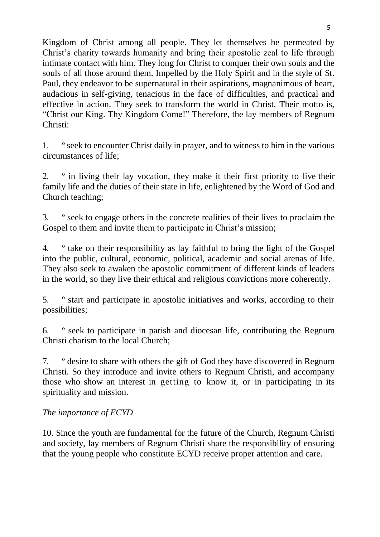Kingdom of Christ among all people. They let themselves be permeated by Christ's charity towards humanity and bring their apostolic zeal to life through intimate contact with him. They long for Christ to conquer their own souls and the souls of all those around them. Impelled by the Holy Spirit and in the style of St. Paul, they endeavor to be supernatural in their aspirations, magnanimous of heart, audacious in self-giving, tenacious in the face of difficulties, and practical and effective in action. They seek to transform the world in Christ. Their motto is, "Christ our King. Thy Kingdom Come!" Therefore, the lay members of Regnum Christi:

1. º seek to encounter Christ daily in prayer, and to witness to him in the various circumstances of life;

2. º in living their lay vocation, they make it their first priority to live their family life and the duties of their state in life, enlightened by the Word of God and Church teaching;

3. º seek to engage others in the concrete realities of their lives to proclaim the Gospel to them and invite them to participate in Christ's mission;

4. º take on their responsibility as lay faithful to bring the light of the Gospel into the public, cultural, economic, political, academic and social arenas of life. They also seek to awaken the apostolic commitment of different kinds of leaders in the world, so they live their ethical and religious convictions more coherently.

5. º start and participate in apostolic initiatives and works, according to their possibilities;

6. º seek to participate in parish and diocesan life, contributing the Regnum Christi charism to the local Church;

7. º desire to share with others the gift of God they have discovered in Regnum Christi. So they introduce and invite others to Regnum Christi, and accompany those who show an interest in getting to know it, or in participating in its spirituality and mission.

## *The importance of ECYD*

10. Since the youth are fundamental for the future of the Church, Regnum Christi and society, lay members of Regnum Christi share the responsibility of ensuring that the young people who constitute ECYD receive proper attention and care.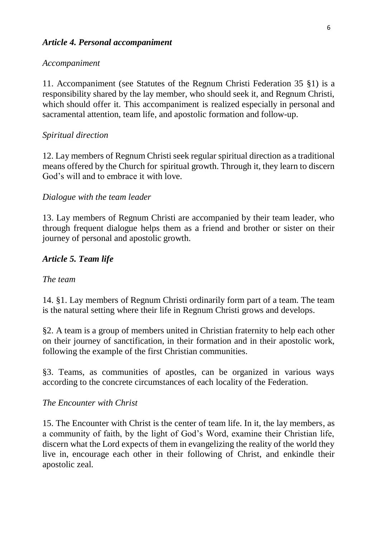## *Article 4. Personal accompaniment*

#### *Accompaniment*

11. Accompaniment (see Statutes of the Regnum Christi Federation 35 §1) is a responsibility shared by the lay member, who should seek it, and Regnum Christi, which should offer it. This accompaniment is realized especially in personal and sacramental attention, team life, and apostolic formation and follow-up.

## *Spiritual direction*

12. Lay members of Regnum Christi seek regular spiritual direction as a traditional means offered by the Church for spiritual growth. Through it, they learn to discern God's will and to embrace it with love.

## *Dialogue with the team leader*

13. Lay members of Regnum Christi are accompanied by their team leader, who through frequent dialogue helps them as a friend and brother or sister on their journey of personal and apostolic growth.

## *Article 5. Team life*

#### *The team*

14. §1. Lay members of Regnum Christi ordinarily form part of a team. The team is the natural setting where their life in Regnum Christi grows and develops.

§2. A team is a group of members united in Christian fraternity to help each other on their journey of sanctification, in their formation and in their apostolic work, following the example of the first Christian communities.

§3. Teams, as communities of apostles, can be organized in various ways according to the concrete circumstances of each locality of the Federation.

#### *The Encounter with Christ*

15. The Encounter with Christ is the center of team life. In it, the lay members, as a community of faith, by the light of God's Word, examine their Christian life, discern what the Lord expects of them in evangelizing the reality of the world they live in, encourage each other in their following of Christ, and enkindle their apostolic zeal.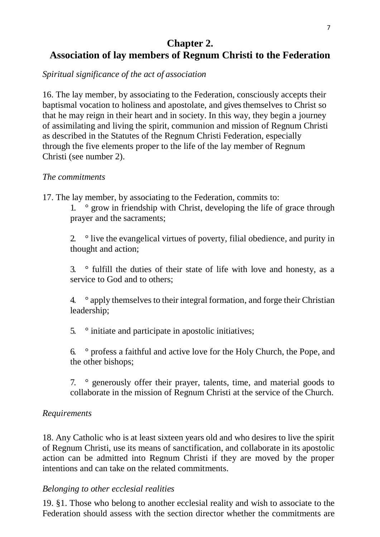## **Chapter 2. Association of lay members of Regnum Christi to the Federation**

*Spiritual significance of the act of association*

16. The lay member, by associating to the Federation, consciously accepts their baptismal vocation to holiness and apostolate, and gives themselves to Christ so that he may reign in their heart and in society. In this way, they begin a journey of assimilating and living the spirit, communion and mission of Regnum Christi as described in the Statutes of the Regnum Christi Federation, especially through the five elements proper to the life of the lay member of Regnum Christi (see number 2).

## *The commitments*

17. The lay member, by associating to the Federation, commits to:

1. ° grow in friendship with Christ, developing the life of grace through prayer and the sacraments;

2. ° live the evangelical virtues of poverty, filial obedience, and purity in thought and action;

3. ° fulfill the duties of their state of life with love and honesty, as a service to God and to others;

4. ° apply themselves to their integral formation, and forge their Christian leadership;

5. ° initiate and participate in apostolic initiatives;

6. ° profess a faithful and active love for the Holy Church, the Pope, and the other bishops;

7. ° generously offer their prayer, talents, time, and material goods to collaborate in the mission of Regnum Christi at the service of the Church.

## *Requirements*

18. Any Catholic who is at least sixteen years old and who desires to live the spirit of Regnum Christi, use its means of sanctification, and collaborate in its apostolic action can be admitted into Regnum Christi if they are moved by the proper intentions and can take on the related commitments.

## *Belonging to other ecclesial realities*

19. §1. Those who belong to another ecclesial reality and wish to associate to the Federation should assess with the section director whether the commitments are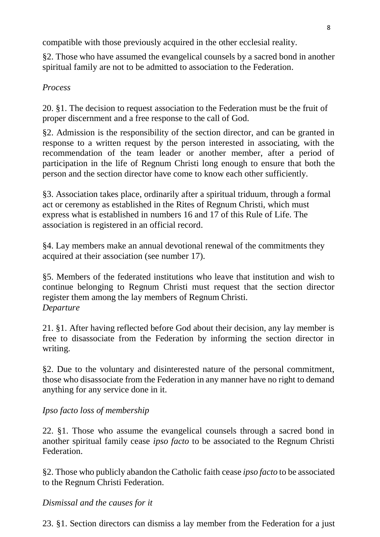compatible with those previously acquired in the other ecclesial reality.

§2. Those who have assumed the evangelical counsels by a sacred bond in another spiritual family are not to be admitted to association to the Federation.

## *Process*

20. §1. The decision to request association to the Federation must be the fruit of proper discernment and a free response to the call of God.

§2. Admission is the responsibility of the section director, and can be granted in response to a written request by the person interested in associating, with the recommendation of the team leader or another member, after a period of participation in the life of Regnum Christi long enough to ensure that both the person and the section director have come to know each other sufficiently.

§3. Association takes place, ordinarily after a spiritual triduum, through a formal act or ceremony as established in the Rites of Regnum Christi, which must express what is established in numbers 16 and 17 of this Rule of Life. The association is registered in an official record.

§4. Lay members make an annual devotional renewal of the commitments they acquired at their association (see number 17).

§5. Members of the federated institutions who leave that institution and wish to continue belonging to Regnum Christi must request that the section director register them among the lay members of Regnum Christi. *Departure*

21. §1. After having reflected before God about their decision, any lay member is free to disassociate from the Federation by informing the section director in writing.

§2. Due to the voluntary and disinterested nature of the personal commitment, those who disassociate from the Federation in any manner have no right to demand anything for any service done in it.

## *Ipso facto loss of membership*

22. §1. Those who assume the evangelical counsels through a sacred bond in another spiritual family cease *ipso facto* to be associated to the Regnum Christi **Federation** 

§2. Those who publicly abandon the Catholic faith cease *ipso facto* to be associated to the Regnum Christi Federation.

## *Dismissal and the causes for it*

23. §1. Section directors can dismiss a lay member from the Federation for a just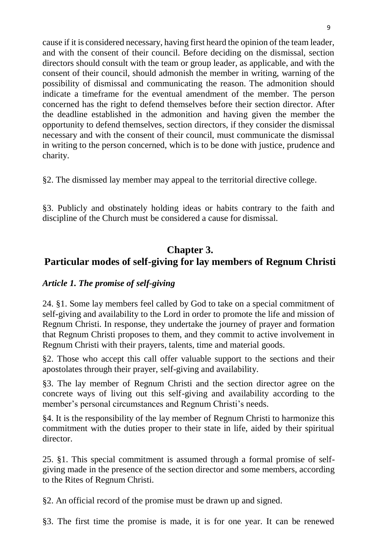cause if it is considered necessary, having first heard the opinion of the team leader, and with the consent of their council. Before deciding on the dismissal, section directors should consult with the team or group leader, as applicable, and with the consent of their council, should admonish the member in writing, warning of the possibility of dismissal and communicating the reason. The admonition should indicate a timeframe for the eventual amendment of the member. The person concerned has the right to defend themselves before their section director. After the deadline established in the admonition and having given the member the opportunity to defend themselves, section directors, if they consider the dismissal necessary and with the consent of their council, must communicate the dismissal in writing to the person concerned, which is to be done with justice, prudence and charity.

§2. The dismissed lay member may appeal to the territorial directive college.

§3. Publicly and obstinately holding ideas or habits contrary to the faith and discipline of the Church must be considered a cause for dismissal.

# **Chapter 3. Particular modes of self-giving for lay members of Regnum Christi**

## *Article 1. The promise of self-giving*

24. §1. Some lay members feel called by God to take on a special commitment of self-giving and availability to the Lord in order to promote the life and mission of Regnum Christi. In response, they undertake the journey of prayer and formation that Regnum Christi proposes to them, and they commit to active involvement in Regnum Christi with their prayers, talents, time and material goods.

§2. Those who accept this call offer valuable support to the sections and their apostolates through their prayer, self-giving and availability.

§3. The lay member of Regnum Christi and the section director agree on the concrete ways of living out this self-giving and availability according to the member's personal circumstances and Regnum Christi's needs.

§4. It is the responsibility of the lay member of Regnum Christi to harmonize this commitment with the duties proper to their state in life, aided by their spiritual director.

25. §1. This special commitment is assumed through a formal promise of selfgiving made in the presence of the section director and some members, according to the Rites of Regnum Christi.

§2. An official record of the promise must be drawn up and signed.

§3. The first time the promise is made, it is for one year. It can be renewed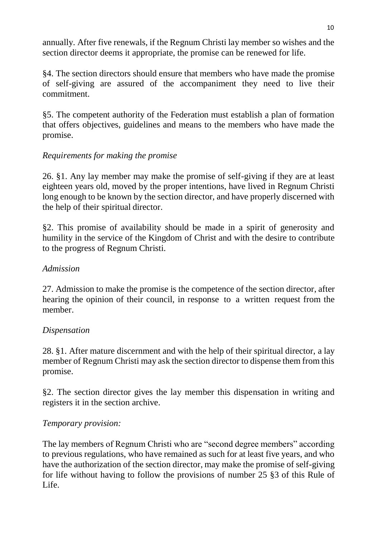annually. After five renewals, if the Regnum Christi lay member so wishes and the section director deems it appropriate, the promise can be renewed for life.

§4. The section directors should ensure that members who have made the promise of self-giving are assured of the accompaniment they need to live their commitment.

§5. The competent authority of the Federation must establish a plan of formation that offers objectives, guidelines and means to the members who have made the promise.

## *Requirements for making the promise*

26. §1. Any lay member may make the promise of self-giving if they are at least eighteen years old, moved by the proper intentions, have lived in Regnum Christi long enough to be known by the section director, and have properly discerned with the help of their spiritual director.

§2. This promise of availability should be made in a spirit of generosity and humility in the service of the Kingdom of Christ and with the desire to contribute to the progress of Regnum Christi.

## *Admission*

27. Admission to make the promise is the competence of the section director, after hearing the opinion of their council, in response to a written request from the member.

## *Dispensation*

28. §1. After mature discernment and with the help of their spiritual director, a lay member of Regnum Christi may ask the section director to dispense them from this promise.

§2. The section director gives the lay member this dispensation in writing and registers it in the section archive.

## *Temporary provision:*

The lay members of Regnum Christi who are "second degree members" according to previous regulations, who have remained as such for at least five years, and who have the authorization of the section director, may make the promise of self-giving for life without having to follow the provisions of number 25 §3 of this Rule of Life.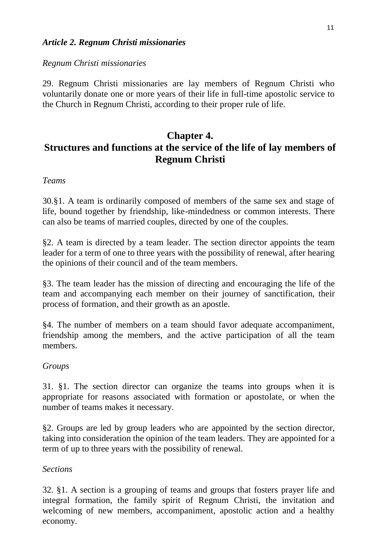## *Article 2. Regnum Christi missionaries*

#### *Regnum Christi missionaries*

29. Regnum Christi missionaries are lay members of Regnum Christi who voluntarily donate one or more years of their life in full-time apostolic service to the Church in Regnum Christi, according to their proper rule of life.

# **Chapter 4. Structures and functions at the service of the life of lay members of Regnum Christi**

#### *Teams*

30.§1. A team is ordinarily composed of members of the same sex and stage of life, bound together by friendship, like-mindedness or common interests. There can also be teams of married couples, directed by one of the couples.

§2. A team is directed by a team leader. The section director appoints the team leader for a term of one to three years with the possibility of renewal, after hearing the opinions of their council and of the team members.

§3. The team leader has the mission of directing and encouraging the life of the team and accompanying each member on their journey of sanctification, their process of formation, and their growth as an apostle.

§4. The number of members on a team should favor adequate accompaniment, friendship among the members, and the active participation of all the team members.

#### *Groups*

31. §1. The section director can organize the teams into groups when it is appropriate for reasons associated with formation or apostolate, or when the number of teams makes it necessary.

§2. Groups are led by group leaders who are appointed by the section director, taking into consideration the opinion of the team leaders. They are appointed for a term of up to three years with the possibility of renewal.

#### *Sections*

32. §1. A section is a grouping of teams and groups that fosters prayer life and integral formation, the family spirit of Regnum Christi, the invitation and welcoming of new members, accompaniment, apostolic action and a healthy economy.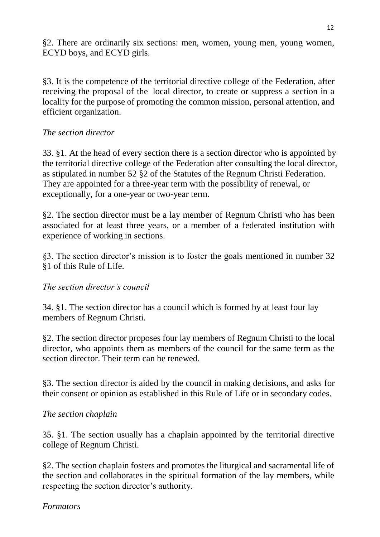§2. There are ordinarily six sections: men, women, young men, young women, ECYD boys, and ECYD girls.

§3. It is the competence of the territorial directive college of the Federation, after receiving the proposal of the local director, to create or suppress a section in a locality for the purpose of promoting the common mission, personal attention, and efficient organization.

## *The section director*

33. §1. At the head of every section there is a section director who is appointed by the territorial directive college of the Federation after consulting the local director, as stipulated in number 52 §2 of the Statutes of the Regnum Christi Federation. They are appointed for a three-year term with the possibility of renewal, or exceptionally, for a one-year or two-year term.

§2. The section director must be a lay member of Regnum Christi who has been associated for at least three years, or a member of a federated institution with experience of working in sections.

§3. The section director's mission is to foster the goals mentioned in number 32 §1 of this Rule of Life.

## *The section director's council*

34. §1. The section director has a council which is formed by at least four lay members of Regnum Christi.

§2. The section director proposes four lay members of Regnum Christi to the local director, who appoints them as members of the council for the same term as the section director. Their term can be renewed.

§3. The section director is aided by the council in making decisions, and asks for their consent or opinion as established in this Rule of Life or in secondary codes.

## *The section chaplain*

35. §1. The section usually has a chaplain appointed by the territorial directive college of Regnum Christi.

§2. The section chaplain fosters and promotes the liturgical and sacramental life of the section and collaborates in the spiritual formation of the lay members, while respecting the section director's authority.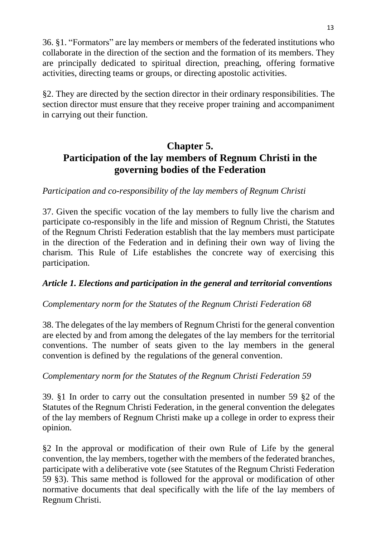36. §1. "Formators" are lay members or members of the federated institutions who collaborate in the direction of the section and the formation of its members. They are principally dedicated to spiritual direction, preaching, offering formative activities, directing teams or groups, or directing apostolic activities.

§2. They are directed by the section director in their ordinary responsibilities. The section director must ensure that they receive proper training and accompaniment in carrying out their function.

# **Chapter 5. Participation of the lay members of Regnum Christi in the governing bodies of the Federation**

## *Participation and co-responsibility of the lay members of Regnum Christi*

37. Given the specific vocation of the lay members to fully live the charism and participate co-responsibly in the life and mission of Regnum Christi, the Statutes of the Regnum Christi Federation establish that the lay members must participate in the direction of the Federation and in defining their own way of living the charism. This Rule of Life establishes the concrete way of exercising this participation.

## *Article 1. Elections and participation in the general and territorial conventions*

#### *Complementary norm for the Statutes of the Regnum Christi Federation 68*

38. The delegates of the lay members of Regnum Christi for the general convention are elected by and from among the delegates of the lay members for the territorial conventions. The number of seats given to the lay members in the general convention is defined by the regulations of the general convention.

## *Complementary norm for the Statutes of the Regnum Christi Federation 59*

39. §1 In order to carry out the consultation presented in number 59 §2 of the Statutes of the Regnum Christi Federation, in the general convention the delegates of the lay members of Regnum Christi make up a college in order to express their opinion.

§2 In the approval or modification of their own Rule of Life by the general convention, the lay members, together with the members of the federated branches, participate with a deliberative vote (see Statutes of the Regnum Christi Federation 59 §3). This same method is followed for the approval or modification of other normative documents that deal specifically with the life of the lay members of Regnum Christi.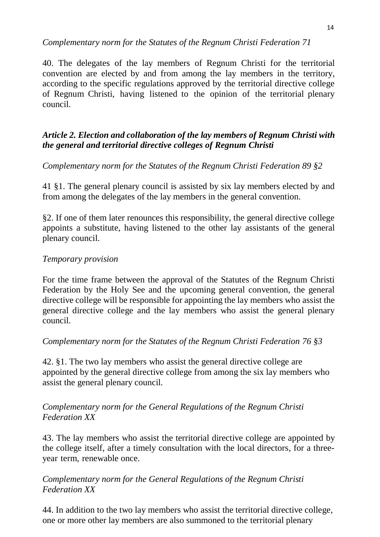## *Complementary norm for the Statutes of the Regnum Christi Federation 71*

40. The delegates of the lay members of Regnum Christi for the territorial convention are elected by and from among the lay members in the territory, according to the specific regulations approved by the territorial directive college of Regnum Christi, having listened to the opinion of the territorial plenary council.

## *Article 2. Election and collaboration of the lay members of Regnum Christi with the general and territorial directive colleges of Regnum Christi*

*Complementary norm for the Statutes of the Regnum Christi Federation 89 §2*

41 §1. The general plenary council is assisted by six lay members elected by and from among the delegates of the lay members in the general convention.

§2. If one of them later renounces this responsibility, the general directive college appoints a substitute, having listened to the other lay assistants of the general plenary council.

## *Temporary provision*

For the time frame between the approval of the Statutes of the Regnum Christi Federation by the Holy See and the upcoming general convention, the general directive college will be responsible for appointing the lay members who assist the general directive college and the lay members who assist the general plenary council.

## *Complementary norm for the Statutes of the Regnum Christi Federation 76 §3*

42. §1. The two lay members who assist the general directive college are appointed by the general directive college from among the six lay members who assist the general plenary council.

## *Complementary norm for the General Regulations of the Regnum Christi Federation XX*

43. The lay members who assist the territorial directive college are appointed by the college itself, after a timely consultation with the local directors, for a threeyear term, renewable once.

## *Complementary norm for the General Regulations of the Regnum Christi Federation XX*

44. In addition to the two lay members who assist the territorial directive college, one or more other lay members are also summoned to the territorial plenary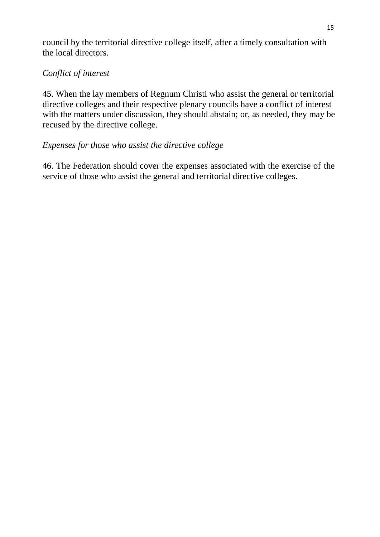council by the territorial directive college itself, after a timely consultation with the local directors.

## *Conflict of interest*

45. When the lay members of Regnum Christi who assist the general or territorial directive colleges and their respective plenary councils have a conflict of interest with the matters under discussion, they should abstain; or, as needed, they may be recused by the directive college.

## *Expenses for those who assist the directive college*

46. The Federation should cover the expenses associated with the exercise of the service of those who assist the general and territorial directive colleges.